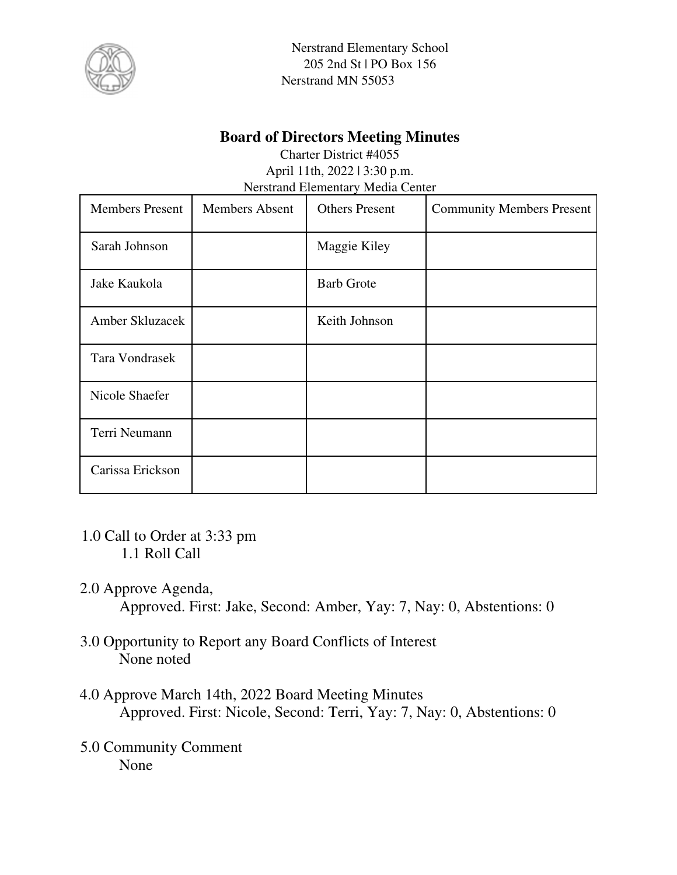

Nerstrand Elementary School 205 2nd St | PO Box 156 Nerstrand MN 55053

#### **Board of Directors Meeting Minutes**

Charter District #4055 April 11th, 2022 | 3:30 p.m. Nerstrand Elementary Media Center

| <b>Members Present</b> | <b>Members Absent</b> | <b>Others Present</b> | <b>Community Members Present</b> |
|------------------------|-----------------------|-----------------------|----------------------------------|
| Sarah Johnson          |                       | Maggie Kiley          |                                  |
| Jake Kaukola           |                       | <b>Barb Grote</b>     |                                  |
| Amber Skluzacek        |                       | Keith Johnson         |                                  |
| Tara Vondrasek         |                       |                       |                                  |
| Nicole Shaefer         |                       |                       |                                  |
| Terri Neumann          |                       |                       |                                  |
| Carissa Erickson       |                       |                       |                                  |

- 1.0 Call to Order at 3:33 pm 1.1 Roll Call
- 2.0 Approve Agenda, Approved. First: Jake, Second: Amber, Yay: 7, Nay: 0, Abstentions: 0
- 3.0 Opportunity to Report any Board Conflicts of Interest None noted
- 4.0 Approve March 14th, 2022 Board Meeting Minutes Approved. First: Nicole, Second: Terri, Yay: 7, Nay: 0, Abstentions: 0
- 5.0 Community Comment None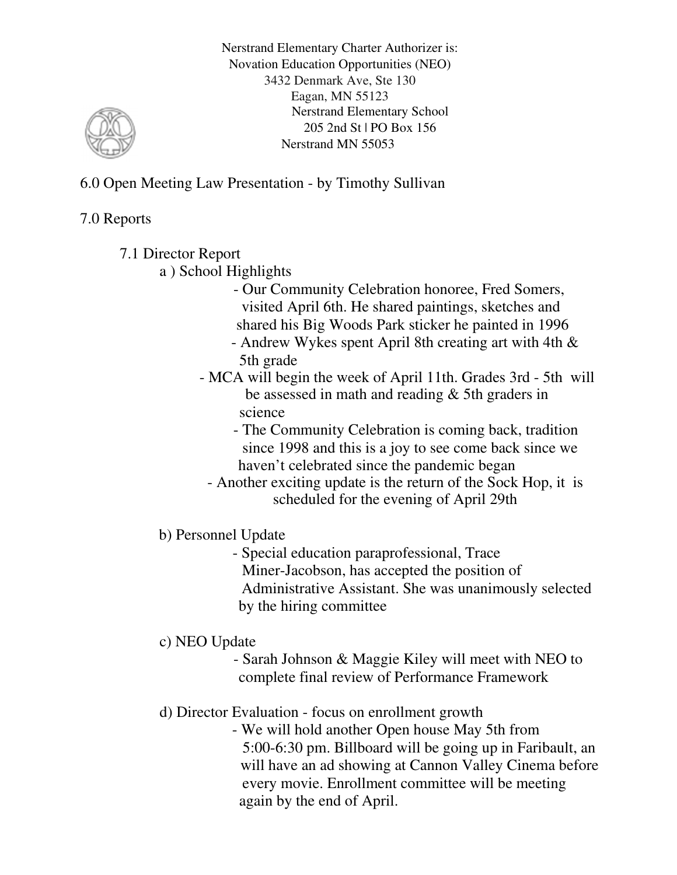6.0 Open Meeting Law Presentation - by Timothy Sullivan

### 7.0 Reports

- 7.1 Director Report
	- a ) School Highlights
		- Our Community Celebration honoree, Fred Somers, visited April 6th. He shared paintings, sketches and shared his Big Woods Park sticker he painted in 1996
		- Andrew Wykes spent April 8th creating art with 4th & 5th grade
		- MCA will begin the week of April 11th. Grades 3rd 5th will be assessed in math and reading & 5th graders in science
			- The Community Celebration is coming back, tradition since 1998 and this is a joy to see come back since we haven't celebrated since the pandemic began
			- Another exciting update is the return of the Sock Hop, it is scheduled for the evening of April 29th
	- b) Personnel Update
		- Special education paraprofessional, Trace Miner-Jacobson, has accepted the position of Administrative Assistant. She was unanimously selected by the hiring committee
	- c) NEO Update
		- Sarah Johnson & Maggie Kiley will meet with NEO to complete final review of Performance Framework
	- d) Director Evaluation focus on enrollment growth
		- We will hold another Open house May 5th from 5:00-6:30 pm. Billboard will be going up in Faribault, an will have an ad showing at Cannon Valley Cinema before every movie. Enrollment committee will be meeting again by the end of April.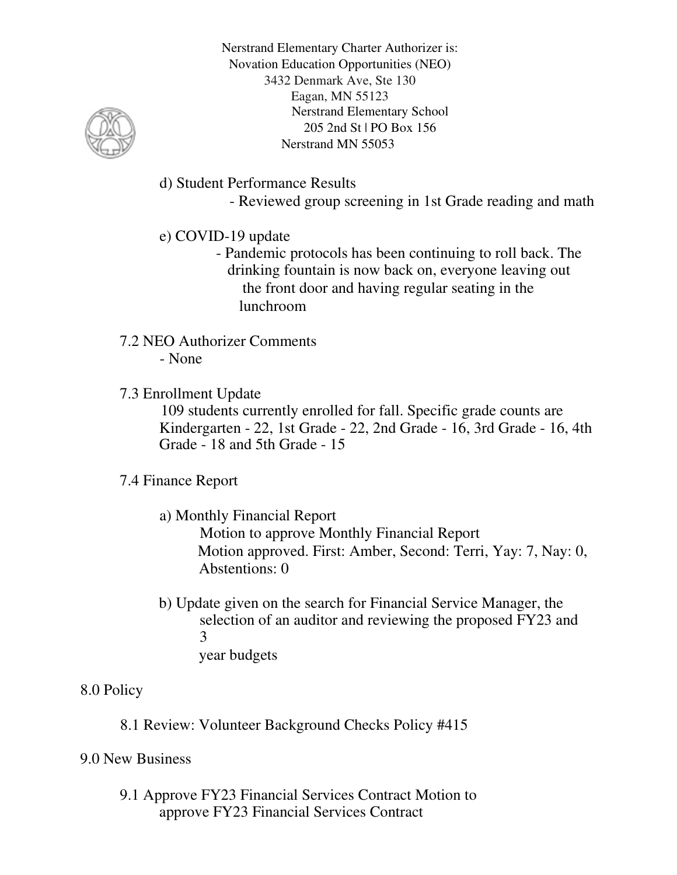

d) Student Performance Results

- Reviewed group screening in 1st Grade reading and math

# e) COVID-19 update

- Pandemic protocols has been continuing to roll back. The drinking fountain is now back on, everyone leaving out the front door and having regular seating in the lunchroom
- 7.2 NEO Authorizer Comments - None
- 7.3 Enrollment Update

109 students currently enrolled for fall. Specific grade counts are Kindergarten - 22, 1st Grade - 22, 2nd Grade - 16, 3rd Grade - 16, 4th Grade - 18 and 5th Grade - 15

#### 7.4 Finance Report

a) Monthly Financial Report

Motion to approve Monthly Financial Report Motion approved. First: Amber, Second: Terri, Yay: 7, Nay: 0, Abstentions: 0

b) Update given on the search for Financial Service Manager, the selection of an auditor and reviewing the proposed FY23 and 3 year budgets

## 8.0 Policy

8.1 Review: Volunteer Background Checks Policy #415

## 9.0 New Business

9.1 Approve FY23 Financial Services Contract Motion to approve FY23 Financial Services Contract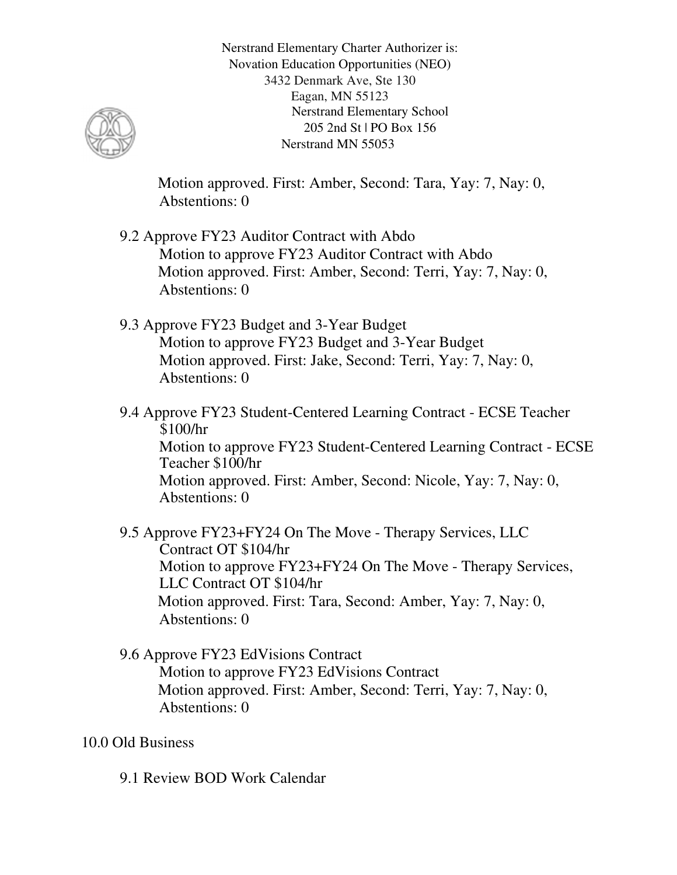

Motion approved. First: Amber, Second: Tara, Yay: 7, Nay: 0, Abstentions: 0

- 9.2 Approve FY23 Auditor Contract with Abdo Motion to approve FY23 Auditor Contract with Abdo Motion approved. First: Amber, Second: Terri, Yay: 7, Nay: 0, Abstentions: 0
- 9.3 Approve FY23 Budget and 3-Year Budget Motion to approve FY23 Budget and 3-Year Budget Motion approved. First: Jake, Second: Terri, Yay: 7, Nay: 0, Abstentions: 0
- 9.4 Approve FY23 Student-Centered Learning Contract ECSE Teacher \$100/hr Motion to approve FY23 Student-Centered Learning Contract - ECSE Teacher \$100/hr Motion approved. First: Amber, Second: Nicole, Yay: 7, Nay: 0, Abstentions: 0
- 9.5 Approve FY23+FY24 On The Move Therapy Services, LLC Contract OT \$104/hr Motion to approve FY23+FY24 On The Move - Therapy Services, LLC Contract OT \$104/hr Motion approved. First: Tara, Second: Amber, Yay: 7, Nay: 0, Abstentions: 0
- 9.6 Approve FY23 EdVisions Contract Motion to approve FY23 EdVisions Contract Motion approved. First: Amber, Second: Terri, Yay: 7, Nay: 0, Abstentions: 0

#### 10.0 Old Business

9.1 Review BOD Work Calendar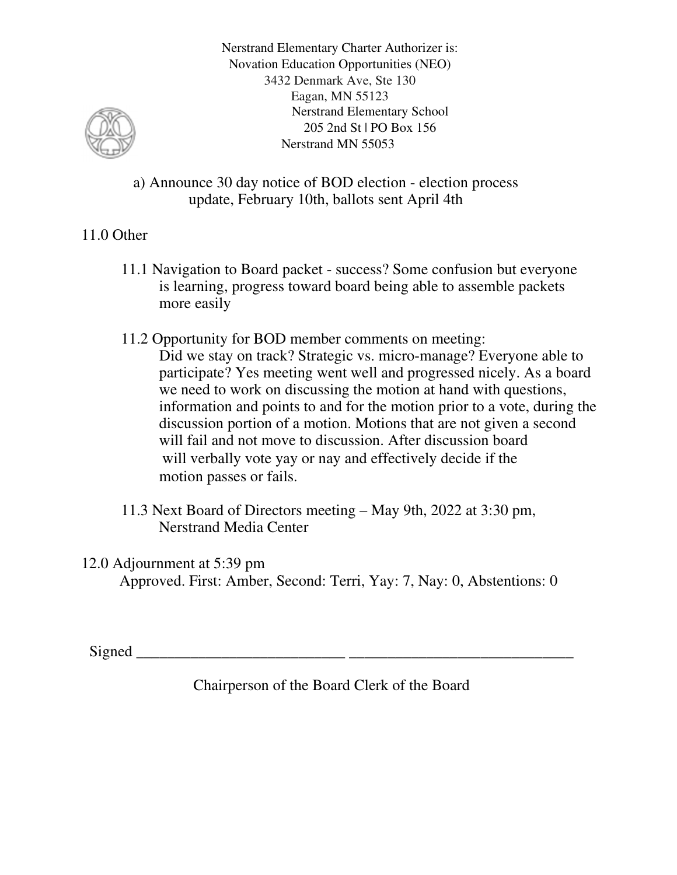

a) Announce 30 day notice of BOD election - election process update, February 10th, ballots sent April 4th

#### 11.0 Other

- 11.1 Navigation to Board packet success? Some confusion but everyone is learning, progress toward board being able to assemble packets more easily
- 11.2 Opportunity for BOD member comments on meeting: Did we stay on track? Strategic vs. micro-manage? Everyone able to participate? Yes meeting went well and progressed nicely. As a board we need to work on discussing the motion at hand with questions, information and points to and for the motion prior to a vote, during the discussion portion of a motion. Motions that are not given a second will fail and not move to discussion. After discussion board will verbally vote yay or nay and effectively decide if the motion passes or fails.
- 11.3 Next Board of Directors meeting May 9th, 2022 at 3:30 pm, Nerstrand Media Center

12.0 Adjournment at 5:39 pm Approved. First: Amber, Second: Terri, Yay: 7, Nay: 0, Abstentions: 0

Signed \_\_\_\_\_\_\_\_\_\_\_\_\_\_\_\_\_\_\_\_\_\_\_\_\_\_\_ \_\_\_\_\_\_\_\_\_\_\_\_\_\_\_\_\_\_\_\_\_\_\_\_\_\_\_\_\_

Chairperson of the Board Clerk of the Board